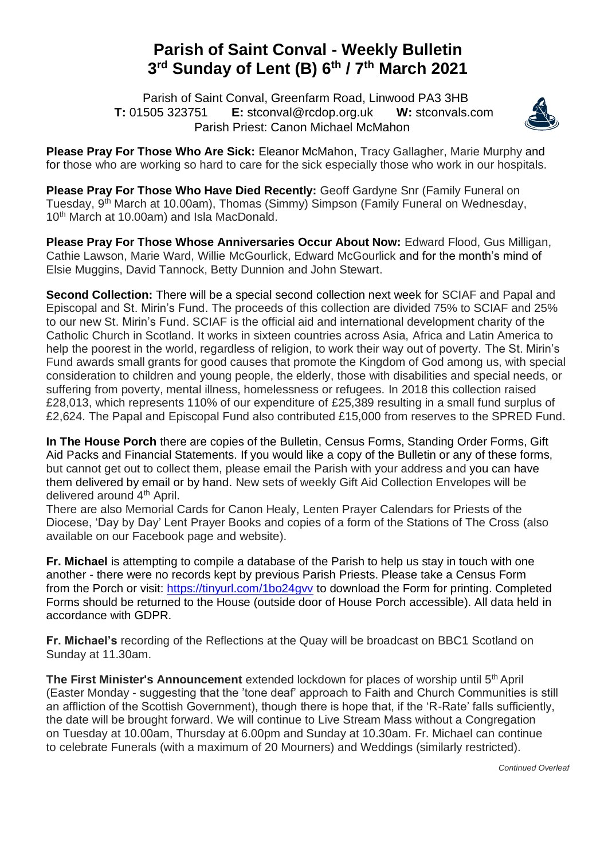## **Parish of Saint Conval - Weekly Bulletin 3 rd Sunday of Lent (B) 6 th / 7 th March 2021**

 Parish of Saint Conval, Greenfarm Road, Linwood PA3 3HB **T:** 01505 323751 **E:** [stconval@rcdop.org.uk](mailto:stconval@rcdop.org.uk) **W:** stconvals.com Parish Priest: Canon Michael McMahon



**Please Pray For Those Who Are Sick:** Eleanor McMahon, Tracy Gallagher, Marie Murphy and for those who are working so hard to care for the sick especially those who work in our hospitals.

**Please Pray For Those Who Have Died Recently:** Geoff Gardyne Snr (Family Funeral on Tuesday, 9<sup>th</sup> March at 10.00am), Thomas (Simmy) Simpson (Family Funeral on Wednesday, 10<sup>th</sup> March at 10.00am) and Isla MacDonald.

**Please Pray For Those Whose Anniversaries Occur About Now:** Edward Flood, Gus Milligan, Cathie Lawson, Marie Ward, Willie McGourlick, Edward McGourlick and for the month's mind of Elsie Muggins, David Tannock, Betty Dunnion and John Stewart.

**Second Collection:** There will be a special second collection next week for SCIAF and Papal and Episcopal and St. Mirin's Fund. The proceeds of this collection are divided 75% to SCIAF and 25% to our new St. Mirin's Fund. SCIAF is the official aid and international development charity of the Catholic Church in Scotland. It works in sixteen countries across Asia, Africa and Latin America to help the poorest in the world, regardless of religion, to work their way out of poverty. The St. Mirin's Fund awards small grants for good causes that promote the Kingdom of God among us, with special consideration to children and young people, the elderly, those with disabilities and special needs, or suffering from poverty, mental illness, homelessness or refugees. In 2018 this collection raised £28,013, which represents 110% of our expenditure of £25,389 resulting in a small fund surplus of £2,624. The Papal and Episcopal Fund also contributed £15,000 from reserves to the SPRED Fund.

**In The House Porch** there are copies of the Bulletin, Census Forms, Standing Order Forms, Gift Aid Packs and Financial Statements. If you would like a copy of the Bulletin or any of these forms, but cannot get out to collect them, please email the Parish with your address and you can have them delivered by email or by hand. New sets of weekly Gift Aid Collection Envelopes will be delivered around 4<sup>th</sup> April.

There are also Memorial Cards for Canon Healy, Lenten Prayer Calendars for Priests of the Diocese, 'Day by Day' Lent Prayer Books and copies of a form of the Stations of The Cross (also available on our Facebook page and website).

**Fr. Michael** is attempting to compile a database of the Parish to help us stay in touch with one another - there were no records kept by previous Parish Priests. Please take a Census Form from the Porch or visit:<https://tinyurl.com/1bo24gvv> to download the Form for printing. Completed Forms should be returned to the House (outside door of House Porch accessible). All data held in accordance with GDPR.

**Fr. Michael's** recording of the Reflections at the Quay will be broadcast on BBC1 Scotland on Sunday at 11.30am.

**The First Minister's Announcement** extended lockdown for places of worship until 5<sup>th</sup> April (Easter Monday - suggesting that the 'tone deaf' approach to Faith and Church Communities is still an affliction of the Scottish Government), though there is hope that, if the 'R-Rate' falls sufficiently, the date will be brought forward. We will continue to Live Stream Mass without a Congregation on Tuesday at 10.00am, Thursday at 6.00pm and Sunday at 10.30am. Fr. Michael can continue to celebrate Funerals (with a maximum of 20 Mourners) and Weddings (similarly restricted).